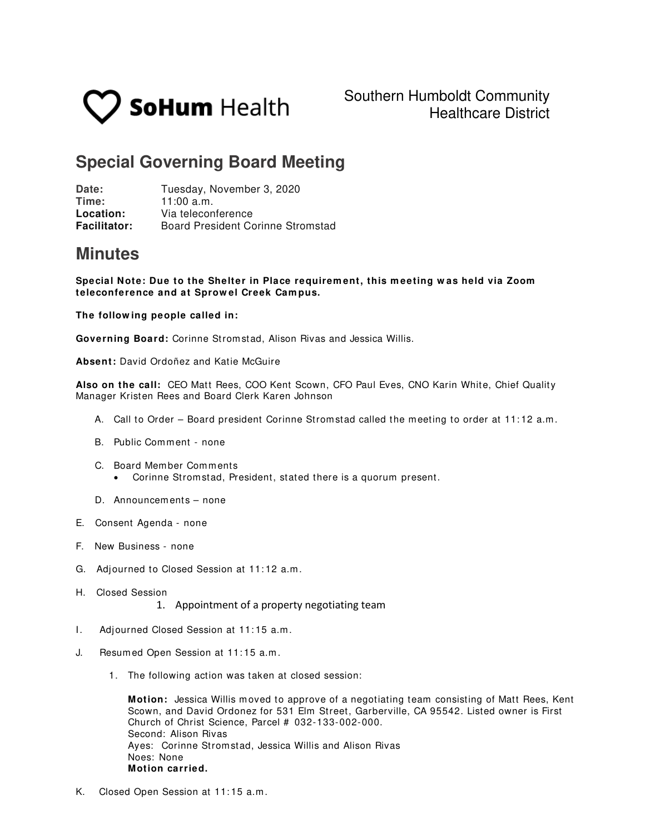

## **Special Governing Board Meeting**

Date: Tuesday, November 3, 2020<br> **Time:** 11:00 a m  $11:00$  a.m. **Location:** Via teleconference **Facilitator:** Board President Corinne Stromstad

## **Minutes**

**Special Note: Due to the Shelter in Place requirem ent, this m eeting w as held via Zoom teleconference and at Sprow el Creek Cam pus.** 

**The follow ing people called in:**

**Governing Board:** Corinne Strom stad, Alison Rivas and Jessica Willis.

**Absent:** David Ordoñez and Katie McGuire

**Also on the call:** CEO Matt Rees, COO Kent Scown, CFO Paul Eves, CNO Karin White, Chief Quality Manager Kristen Rees and Board Clerk Karen Johnson

- A. Call to Order Board president Corinne Stromstad called the meeting to order at 11:12 a.m.
- B. Public Com m ent none
- C. Board Mem ber Com m ents
	- Corinne Strom stad, President, stated there is a quorum present.
- D. Announcem ents none
- E. Consent Agenda none
- F. New Business none
- G. Adjourned to Closed Session at 11: 12 a.m .
- H. Closed Session

1. Appointment of a property negotiating team

- I. Adjourned Closed Session at 11: 15 a.m .
- J. Resum ed Open Session at 11: 15 a.m .
	- 1. The following action was taken at closed session:

**Motion:** Jessica Willis moved to approve of a negotiating team consisting of Matt Rees, Kent Scown, and David Ordonez for 531 Elm Street, Garberville, CA 95542. Listed owner is First Church of Christ Science, Parcel # 032-133-002-000. Second: Alison Rivas Ayes: Corinne Strom stad, Jessica Willis and Alison Rivas Noes: None **Motion carried.**

K. Closed Open Session at 11: 15 a.m .